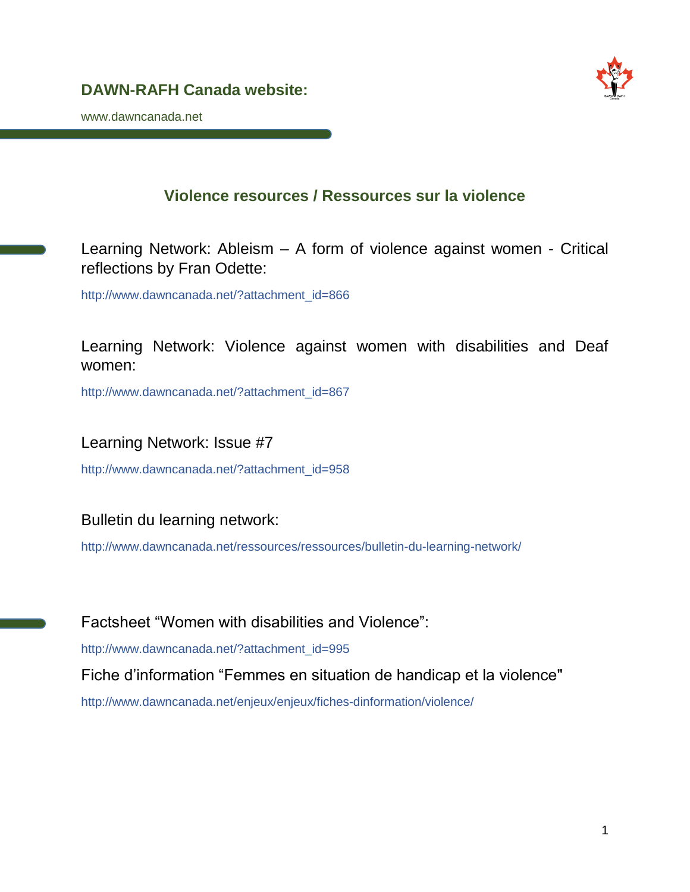

www.dawncanada.net

# **Violence resources / Ressources sur la violence**

Learning Network: Ableism – A form of violence against women - Critical reflections by Fran Odette:

http://www.dawncanada.net/?attachment\_id=866

Learning Network: Violence against women with disabilities and Deaf women:

http://www.dawncanada.net/?attachment\_id=867

Learning Network: Issue #7

http://www.dawncanada.net/?attachment\_id=958

Bulletin du learning network:

<http://www.dawncanada.net/ressources/ressources/bulletin-du-learning-network/>

Factsheet "Women with disabilities and Violence": [http://www.dawncanada.net/?attachment\\_id=995](http://www.dawncanada.net/?attachment_id=995) Fiche d'information "Femmes en situation de handicap et la violence" <http://www.dawncanada.net/enjeux/enjeux/fiches-dinformation/violence/>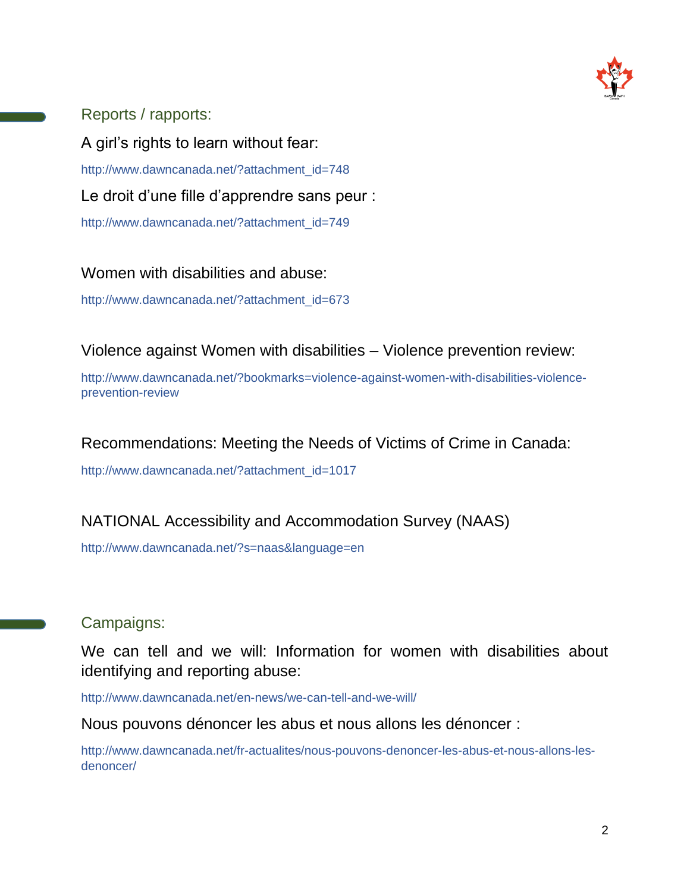

Reports / rapports:

A girl's rights to learn without fear: [http://www.dawncanada.net/?attachment\\_id=748](http://www.dawncanada.net/?attachment_id=748) Le droit d'une fille d'apprendre sans peur : [http://www.dawncanada.net/?attachment\\_id=749](http://www.dawncanada.net/?attachment_id=749)

Women with disabilities and abuse:

[http://www.dawncanada.net/?attachment\\_id=673](http://www.dawncanada.net/?attachment_id=673)

Violence against Women with disabilities – Violence prevention review:

[http://www.dawncanada.net/?bookmarks=violence-against-women-with-disabilities-violence](http://www.dawncanada.net/?bookmarks=violence-against-women-with-disabilities-violence-prevention-review)[prevention-review](http://www.dawncanada.net/?bookmarks=violence-against-women-with-disabilities-violence-prevention-review)

## Recommendations: Meeting the Needs of Victims of Crime in Canada:

[http://www.dawncanada.net/?attachment\\_id=1017](http://www.dawncanada.net/?attachment_id=1017)

## NATIONAL Accessibility and Accommodation Survey (NAAS)

http://www.dawncanada.net/?s=naas&language=en

Campaigns:

We can tell and we will: Information for women with disabilities about identifying and reporting abuse:

<http://www.dawncanada.net/en-news/we-can-tell-and-we-will/>

Nous pouvons dénoncer les abus et nous allons les dénoncer :

[http://www.dawncanada.net/fr-actualites/nous-pouvons-denoncer-les-abus-et-nous-allons-les](http://www.dawncanada.net/fr-actualites/nous-pouvons-denoncer-les-abus-et-nous-allons-les-denoncer/)[denoncer/](http://www.dawncanada.net/fr-actualites/nous-pouvons-denoncer-les-abus-et-nous-allons-les-denoncer/)